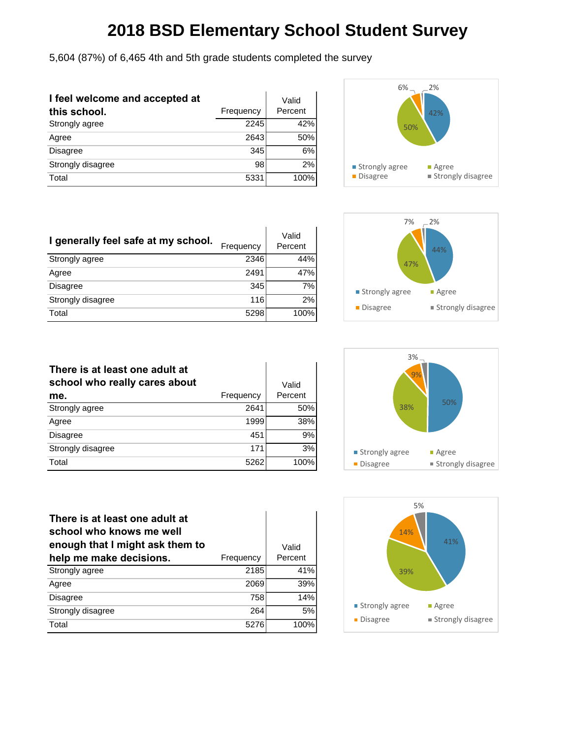5,604 (87%) of 6,465 4th and 5th grade students completed the survey

| I feel welcome and accepted at<br>this school. | Frequency | Valid<br>Percent |
|------------------------------------------------|-----------|------------------|
| Strongly agree                                 | 2245      | 42%              |
| Agree                                          | 2643      | 50%              |
| Disagree                                       | 345       | 6%               |
| Strongly disagree                              | 98        | 2%               |
| Total                                          | 5331      | 100%             |



| I generally feel safe at my school. | Frequency | Valid<br>Percent |
|-------------------------------------|-----------|------------------|
| Strongly agree                      | 2346      | 44%              |
| Agree                               | 2491      | 47%              |
| Disagree                            | 345       | 7%               |
| Strongly disagree                   | 116       | 2%               |
| Total                               | 5298      | 100%             |



| There is at least one adult at<br>school who really cares about |           | Valid   |
|-----------------------------------------------------------------|-----------|---------|
| me.                                                             | Frequency | Percent |
| Strongly agree                                                  | 2641      | 50%     |
| Agree                                                           | 1999      | 38%     |
| <b>Disagree</b>                                                 | 451       | 9%      |
| Strongly disagree                                               | 171       | 3%      |
| Total                                                           | 5262      | 100%    |



| There is at least one adult at<br>school who knows me well<br>enough that I might ask them to |           | Valid   |
|-----------------------------------------------------------------------------------------------|-----------|---------|
| help me make decisions.                                                                       | Frequency | Percent |
| Strongly agree                                                                                | 2185      | 41%     |
| Agree                                                                                         | 2069      | 39%     |
| Disagree                                                                                      | 758       | 14%     |
| Strongly disagree                                                                             | 264       | 5%      |
| Total                                                                                         | 5276      | 100%    |

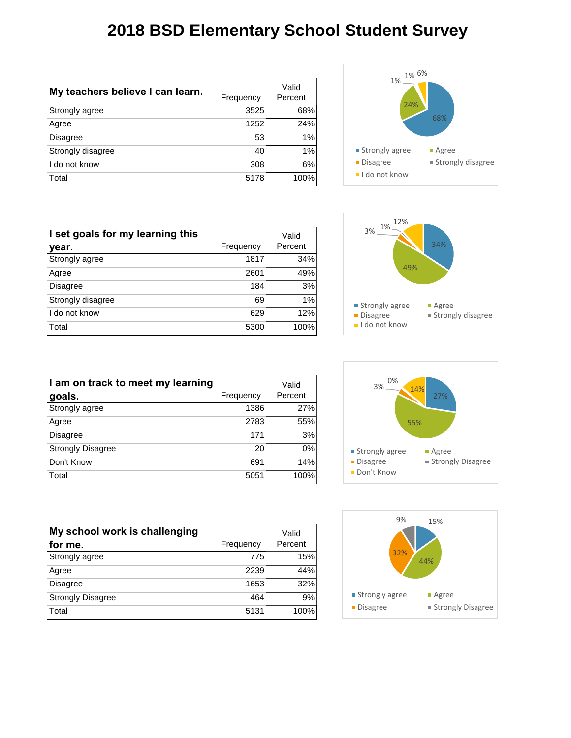| My teachers believe I can learn. | Frequency | Valid<br>Percent |
|----------------------------------|-----------|------------------|
| Strongly agree                   | 3525      | 68%              |
| Agree                            | 1252      | 24%              |
| Disagree                         | 53        | 1%               |
| Strongly disagree                | 40        | 1%               |
| I do not know                    | 308       | 6%               |
| Total                            | 5178      | 100%             |



| I set goals for my learning this |           | Valid   |
|----------------------------------|-----------|---------|
| year.                            | Frequency | Percent |
| Strongly agree                   | 1817      | 34%     |
| Agree                            | 2601      | 49%     |
| <b>Disagree</b>                  | 184       | 3%      |
| Strongly disagree                | 69        | 1%      |
| I do not know                    | 629       | 12%     |
| Total                            | 5300      | 100%    |



| I am on track to meet my learning |           | Valid   |
|-----------------------------------|-----------|---------|
| goals.                            | Frequency | Percent |
| Strongly agree                    | 1386      | 27%     |
| Agree                             | 2783      | 55%     |
| <b>Disagree</b>                   | 171       | 3%      |
| <b>Strongly Disagree</b>          | 20        | 0%      |
| Don't Know                        | 691       | 14%     |
| Total                             | 5051      | 100%    |



| My school work is challenging |           | Valid   |
|-------------------------------|-----------|---------|
| for me.                       | Frequency | Percent |
| Strongly agree                | 775       | 15%     |
| Agree                         | 2239      | 44%     |
| <b>Disagree</b>               | 1653      | 32%     |
| <b>Strongly Disagree</b>      | 464       | 9%      |
| Total                         | 5131      | 100%    |

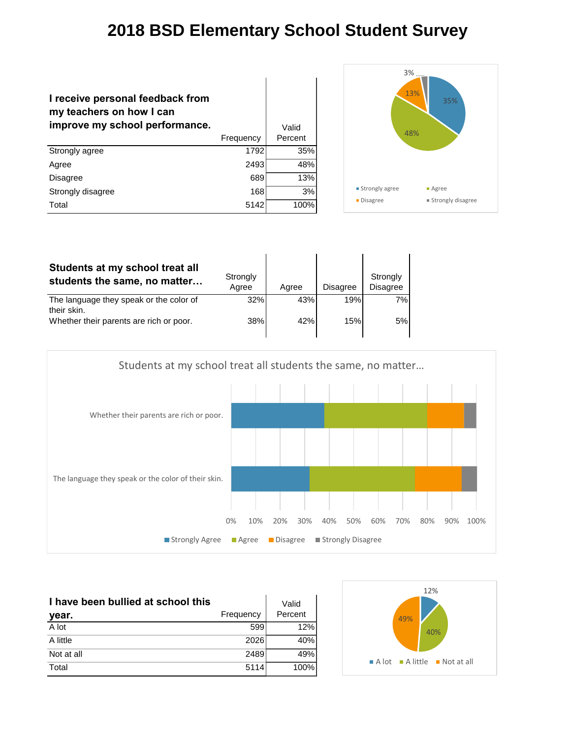| I receive personal feedback from<br>my teachers on how I can<br>improve my school performance. |           | Valid   |
|------------------------------------------------------------------------------------------------|-----------|---------|
|                                                                                                | Frequency | Percent |
| Strongly agree                                                                                 | 1792      | 35%     |
| Agree                                                                                          | 2493      | 48%     |
| <b>Disagree</b>                                                                                | 689       | 13%     |
| Strongly disagree                                                                              | 168       | 3%      |
| Total                                                                                          | 5142      | 100%    |



| Students at my school treat all<br>students the same, no matter                                   | Strongly<br>Agree | Aaree      | <b>Disagree</b> | Strongly<br>Disagree |
|---------------------------------------------------------------------------------------------------|-------------------|------------|-----------------|----------------------|
| The language they speak or the color of<br>their skin.<br>Whether their parents are rich or poor. | 32%<br><b>38%</b> | 43%<br>42% | 19%<br>15%      | 7%<br>5%             |



| I have been bullied at school this<br>year. | Frequency | Valid<br>Percent |
|---------------------------------------------|-----------|------------------|
| A lot                                       | 599       | 12%              |
| A little                                    | 2026      | 40%              |
| Not at all                                  | 2489      | 49%              |
| Total                                       | 5114      | 100%             |

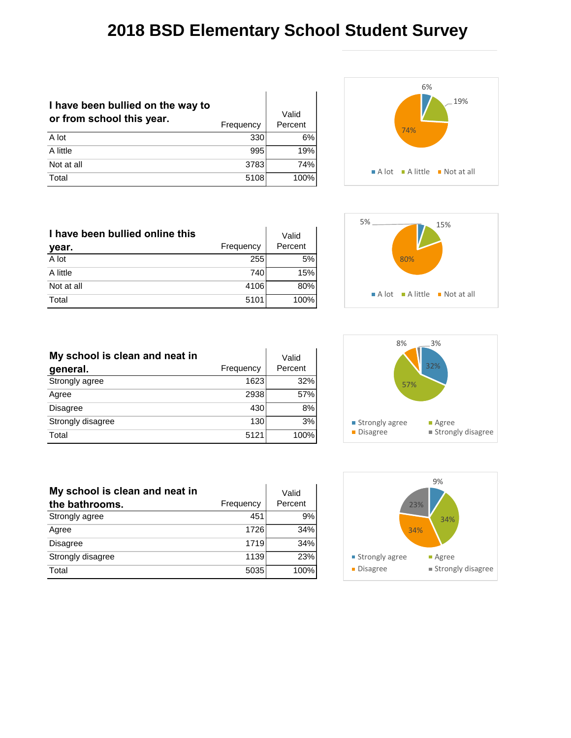| I have been bullied on the way to<br>or from school this year. | Frequency | Valid<br>Percent |
|----------------------------------------------------------------|-----------|------------------|
| A lot                                                          | 330       | 6%               |
| A little                                                       | 995       | 19%              |
| Not at all                                                     | 3783      | 74%              |
| Total                                                          | 5108      | 100%             |



| I have been bullied online this |           | Valid   |
|---------------------------------|-----------|---------|
| year.                           | Frequency | Percent |
| A lot                           | 255       | 5%      |
| A little                        | 740       | 15%     |
| Not at all                      | 4106      | 80%     |
| Total                           | 5101      | 100%    |

| My school is clean and neat in |           | Valid   |
|--------------------------------|-----------|---------|
| general.                       | Frequency | Percent |
| Strongly agree                 | 1623      | 32%     |
| Agree                          | 2938      | 57%     |
| <b>Disagree</b>                | 430       | 8%      |
| Strongly disagree              | 130       | 3%      |
| Total                          | 5121      | 100%    |

| My school is clean and neat in |           | Valid   |
|--------------------------------|-----------|---------|
| the bathrooms.                 | Frequency | Percent |
| Strongly agree                 | 451       | 9%      |
| Agree                          | 1726      | 34%     |
| <b>Disagree</b>                | 1719      | 34%     |
| Strongly disagree              | 1139      | 23%     |
| Total                          | 5035      | 100%    |





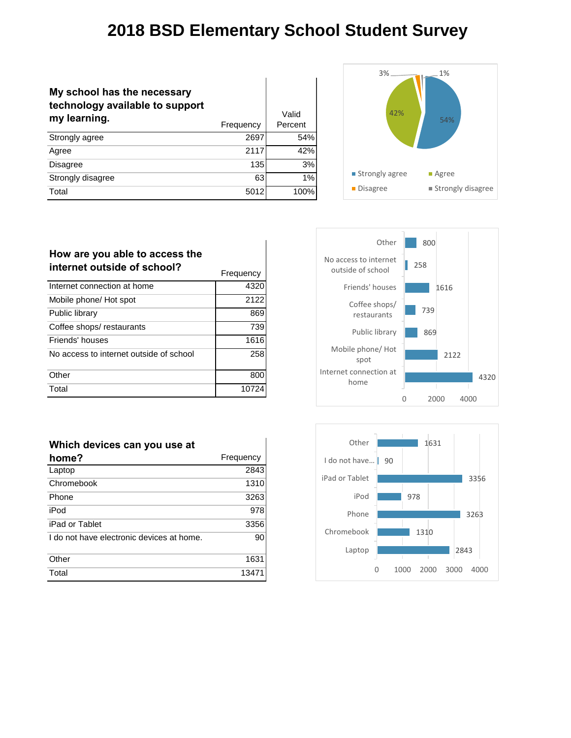$\mathbf{r}$ 

| My school has the necessary<br>technology available to support<br>my learning. | Frequency | Valid<br>Percent |
|--------------------------------------------------------------------------------|-----------|------------------|
| Strongly agree                                                                 | 2697      | 54%              |
| Agree                                                                          | 2117      | 42%              |
| <b>Disagree</b>                                                                | 135       | 3%               |
| Strongly disagree                                                              | 63        | 1%               |
| Total                                                                          | 5012      | 100%             |



| How are you able to access the<br>internet outside of school? | Frequency |
|---------------------------------------------------------------|-----------|
| Internet connection at home                                   | 4320      |
| Mobile phone/ Hot spot                                        | 2122      |
| Public library                                                | 869       |
| Coffee shops/restaurants                                      | 739       |
| Friends' houses                                               | 1616      |
| No access to internet outside of school                       | 258       |
| Other                                                         | 800       |
| Total                                                         |           |

| Which devices can you use at              |           |
|-------------------------------------------|-----------|
| home?                                     | Frequency |
| Laptop                                    | 2843      |
| Chromebook                                | 1310      |
| Phone                                     | 3263      |
| iPod                                      | 978       |
| iPad or Tablet                            | 3356      |
| I do not have electronic devices at home. | 90        |
| Other                                     | 1631      |
| Total                                     | 13471     |



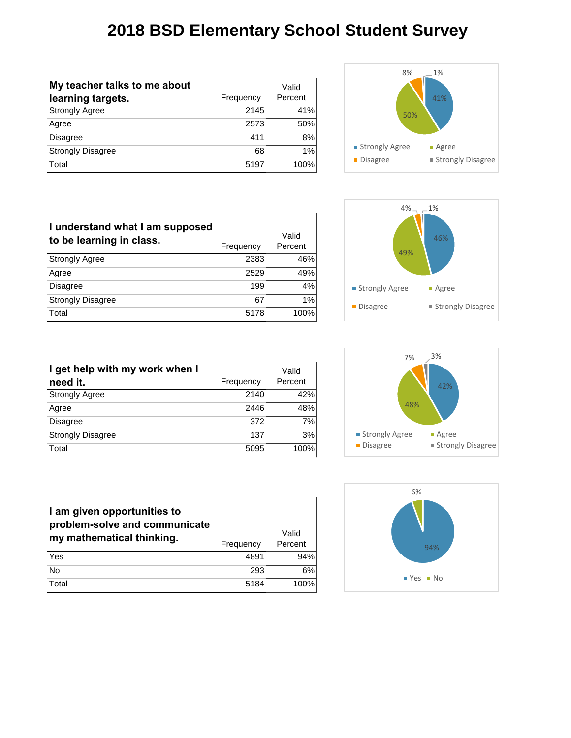| My teacher talks to me about |           | Valid   |
|------------------------------|-----------|---------|
| learning targets.            | Frequency | Percent |
| <b>Strongly Agree</b>        | 2145      | 41%     |
| Agree                        | 2573      | 50%     |
| Disagree                     | 411       | 8%      |
| <b>Strongly Disagree</b>     | 68        | 1%      |
| Total                        | 5197      | 100%    |



| I understand what I am supposed<br>to be learning in class. | Frequency | Valid<br>Percent |
|-------------------------------------------------------------|-----------|------------------|
| <b>Strongly Agree</b>                                       | 2383      | 46%              |
| Agree                                                       | 2529      | 49%              |
| <b>Disagree</b>                                             | 199       | 4%               |
| <b>Strongly Disagree</b>                                    | 67        | 1%               |
| Total                                                       | 5178      | 100%             |



| I get help with my work when I |           | Valid   |
|--------------------------------|-----------|---------|
| need it.                       | Frequency | Percent |
| <b>Strongly Agree</b>          | 2140      | 42%     |
| Agree                          | 2446      | 48%     |
| <b>Disagree</b>                | 372       | 7%      |
| <b>Strongly Disagree</b>       | 137       | 3%      |
| Total                          | 5095      | 100%    |



| I am given opportunities to<br>problem-solve and communicate<br>my mathematical thinking. | Frequency | Valid<br>Percent |
|-------------------------------------------------------------------------------------------|-----------|------------------|
| Yes                                                                                       | 489       | 94%              |
| No                                                                                        | 293       | 6%               |
| Total                                                                                     | 5184      | 100%             |